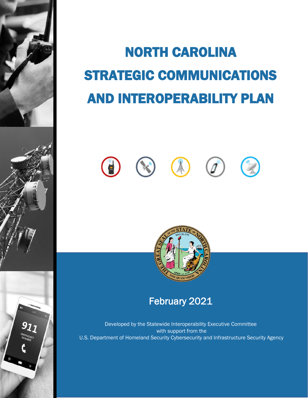# NORTH CAROLINA STRATEGIC COMMUNICATIONS AND INTEROPERABILITY PLAN





February 2021

Developed by the Statewide Interoperability Executive Committee with support from the U.S. Department of Homeland Security Cybersecurity and Infrastructure Security Agency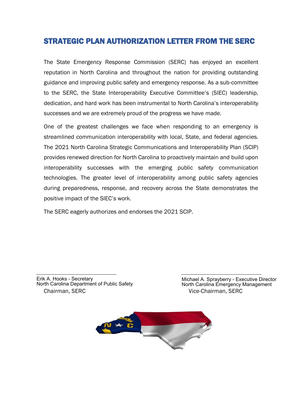#### STRATEGIC PLAN AUTHORIZATION LETTER FROM THE SERC

The State Emergency Response Commission (SERC) has enjoyed an excellent reputation in North Carolina and throughout the nation for providing outstanding guidance and improving public safety and emergency response. As a sub-committee to the SERC, the State Interoperability Executive Committee's (SIEC) leadership, dedication, and hard work has been instrumental to North Carolina's interoperability successes and we are extremely proud of the progress we have made.

One of the greatest challenges we face when responding to an emergency is streamlined communication interoperability with local, State, and federal agencies. The 2021 North Carolina Strategic Communications and Interoperability Plan (SCIP) provides renewed direction for North Carolina to proactively maintain and build upon interoperability successes with the emerging public safety communication technologies. The greater level of interoperability among public safety agencies during preparedness, response, and recovery across the State demonstrates the positive impact of the SIEC's work.

The SERC eagerly authorizes and endorses the 2021 SCIP.

Chairman, SERC Vice-Chairman, SERC Erik A. Hooks - Secretary North Carolina Department of Public Safety

Michael A. Sprayberry - Executive Director North Carolina Emergency Management

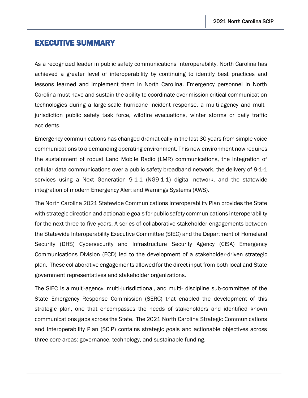#### EXECUTIVE SUMMARY

As a recognized leader in public safety communications interoperability, North Carolina has achieved a greater level of interoperability by continuing to identify best practices and lessons learned and implement them in North Carolina. Emergency personnel in North Carolina must have and sustain the ability to coordinate over mission critical communication technologies during a large-scale hurricane incident response, a multi-agency and multijurisdiction public safety task force, wildfire evacuations, winter storms or daily traffic accidents.

Emergency communications has changed dramatically in the last 30 years from simple voice communications to a demanding operating environment. This new environment now requires the sustainment of robust Land Mobile Radio (LMR) communications, the integration of cellular data communications over a public safety broadband network, the delivery of 9-1-1 services using a Next Generation 9-1-1 (NG9-1-1) digital network, and the statewide integration of modern Emergency Alert and Warnings Systems (AWS).

The North Carolina 2021 Statewide Communications Interoperability Plan provides the State with strategic direction and actionable goals for public safety communications interoperability for the next three to five years. A series of collaborative stakeholder engagements between the Statewide Interoperability Executive Committee (SIEC) and the Department of Homeland Security (DHS) Cybersecurity and Infrastructure Security Agency (CISA) Emergency Communications Division (ECD) led to the development of a stakeholder-driven strategic plan. These collaborative engagements allowed for the direct input from both local and State government representatives and stakeholder organizations.

The SIEC is a multi-agency, multi-jurisdictional, and multi- discipline sub-committee of the State Emergency Response Commission (SERC) that enabled the development of this strategic plan, one that encompasses the needs of stakeholders and identified known communications gaps across the State. The 2021 North Carolina Strategic Communications and Interoperability Plan (SCIP) contains strategic goals and actionable objectives across three core areas: governance, technology, and sustainable funding.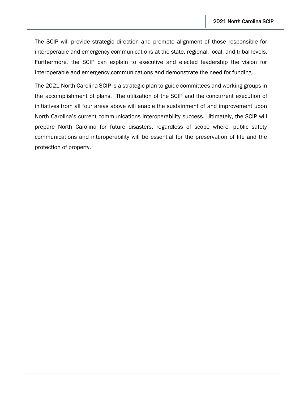The SCIP will provide strategic direction and promote alignment of those responsible for interoperable and emergency communications at the state, regional, local, and tribal levels. Furthermore, the SCIP can explain to executive and elected leadership the vision for interoperable and emergency communications and demonstrate the need for funding.

The 2021 North Carolina SCIP is a strategic plan to guide committees and working groups in the accomplishment of plans. The utilization of the SCIP and the concurrent execution of initiatives from all four areas above will enable the sustainment of and improvement upon North Carolina's current communications interoperability success. Ultimately, the SCIP will prepare North Carolina for future disasters, regardless of scope where, public safety communications and interoperability will be essential for the preservation of life and the protection of property.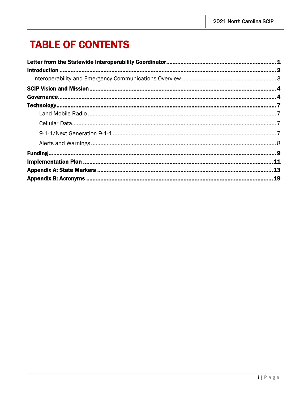## **TABLE OF CONTENTS**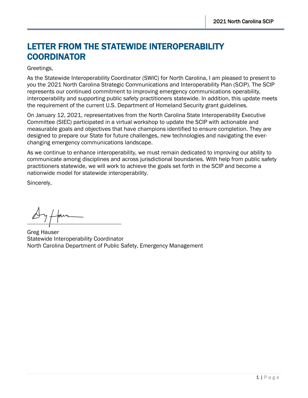## <span id="page-5-0"></span>LETTER FROM THE STATEWIDE INTEROPERABILITY **COORDINATOR**

#### Greetings,

As the Statewide Interoperability Coordinator (SWIC) for North Carolina, I am pleased to present to you the 2021 North Carolina Strategic Communications and Interoperability Plan (SCIP). The SCIP represents our continued commitment to improving emergency communications operability, interoperability and supporting public safety practitioners statewide. In addition, this update meets the requirement of the current U.S. Department of Homeland Security grant guidelines.

On January 12, 2021, representatives from the North Carolina State Interoperability Executive Committee (SIEC) participated in a virtual workshop to update the SCIP with actionable and measurable goals and objectives that have champions identified to ensure completion. They are designed to prepare our State for future challenges, new technologies and navigating the everchanging emergency communications landscape.

As we continue to enhance interoperability, we must remain dedicated to improving our ability to communicate among disciplines and across jurisdictional boundaries. With help from public safety practitioners statewide, we will work to achieve the goals set forth in the SCIP and become a nationwide model for statewide interoperability.

Sincerely,

Greg Hauser Statewide Interoperability Coordinator North Carolina Department of Public Safety, Emergency Management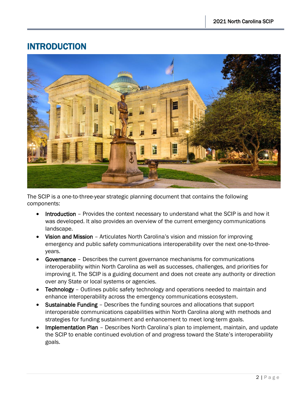## <span id="page-6-0"></span>INTRODUCTION



The SCIP is a one-to-three-year strategic planning document that contains the following components:

- Introduction Provides the context necessary to understand what the SCIP is and how it was developed. It also provides an overview of the current emergency communications landscape.
- Vision and Mission Articulates North Carolina's vision and mission for improving emergency and public safety communications interoperability over the next one-to-threeyears.
- Governance Describes the current governance mechanisms for communications interoperability within North Carolina as well as successes, challenges, and priorities for improving it. The SCIP is a guiding document and does not create any authority or direction over any State or local systems or agencies.
- Technology Outlines public safety technology and operations needed to maintain and enhance interoperability across the emergency communications ecosystem.
- Sustainable Funding Describes the funding sources and allocations that support interoperable communications capabilities within North Carolina along with methods and strategies for funding sustainment and enhancement to meet long-term goals.
- Implementation Plan Describes North Carolina's plan to implement, maintain, and update the SCIP to enable continued evolution of and progress toward the State's interoperability goals.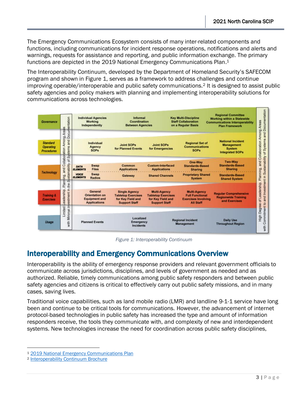The Emergency Communications Ecosystem consists of many inter-related components and functions, including communications for incident response operations, notifications and alerts and warnings, requests for assistance and reporting, and public information exchange. The primary functions are depicted in the 2019 National Emergency Communications Plan.<sup>1</sup>

The Interoperability Continuum, developed by the Department of Homeland Security's SAFECOM program and shown in Figure 1, serves as a framework to address challenges and continue improving operable/interoperable and public safety communications.<sup>2</sup> It is designed to assist public safety agencies and policy makers with planning and implementing interoperability solutions for communications across technologies.



*Figure 1: Interoperability Continuum*

#### <span id="page-7-0"></span>Interoperability and Emergency Communications Overview

Interoperability is the ability of emergency response providers and relevant government officials to communicate across jurisdictions, disciplines, and levels of government as needed and as authorized. Reliable, timely communications among public safety responders and between public safety agencies and citizens is critical to effectively carry out public safety missions, and in many cases, saving lives.

Traditional voice capabilities, such as land mobile radio (LMR) and landline 9-1-1 service have long been and continue to be critical tools for communications. However, the advancement of internet protocol-based technologies in public safety has increased the type and amount of information responders receive, the tools they communicate with, and complexity of new and interdependent systems. New technologies increase the need for coordination across public safety disciplines,

<sup>1</sup> [2019 National Emergency Communications Plan](https://www.cisa.gov/sites/default/files/publications/19_0924_CISA_ECD-NECP-2019_1.pdf)

<sup>2</sup> [Interoperability Continuum Brochure](https://www.cisa.gov/sites/default/files/publications/interoperability_continuum_brochure_2_1.pdf)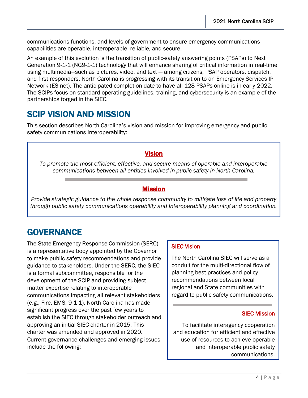communications functions, and levels of government to ensure emergency communications capabilities are operable, interoperable, reliable, and secure.

An example of this evolution is the transition of public-safety answering points (PSAPs) to Next Generation 9-1-1 (NG9-1-1) technology that will enhance sharing of critical information in real-time using multimedia—such as pictures, video, and text — among citizens, PSAP operators, dispatch, and first responders. North Carolina is progressing with its transition to an Emergency Services IP Network (ESInet). The anticipated completion date to have all 128 PSAPs online is in early 2022. The SCIPs focus on standard operating guidelines, training, and cybersecurity is an example of the partnerships forged in the SIEC.

## <span id="page-8-0"></span>SCIP VISION AND MISSION

This section describes North Carolina's vision and mission for improving emergency and public safety communications interoperability:

#### Vision

*To promote the most efficient, effective, and secure means of operable and interoperable communications between all entities involved in public safety in North Carolina.*

#### **Mission**

j

*Provide strategic guidance to the whole response community to mitigate loss of life and property through public safety communications operability and interoperability planning and coordination.*

## <span id="page-8-1"></span>**GOVERNANCE**

The State Emergency Response Commission (SERC) is a representative body appointed by the Governor to make public safety recommendations and provide guidance to stakeholders. Under the SERC, the SIEC is a formal subcommittee, responsible for the development of the SCIP and providing subject matter expertise relating to interoperable communications impacting all relevant stakeholders (e.g., Fire, EMS, 9-1-1). North Carolina has made significant progress over the past few years to establish the SIEC through stakeholder outreach and approving an initial SIEC charter in 2015. This charter was amended and approved in 2020. Current governance challenges and emerging issues include the following:

#### SIEC Vision

The North Carolina SIEC will serve as a conduit for the multi-directional flow of planning best practices and policy recommendations between local regional and State communities with regard to public safety communications.

#### SIEC Mission

To facilitate interagency cooperation and education for efficient and effective use of resources to achieve operable and interoperable public safety communications.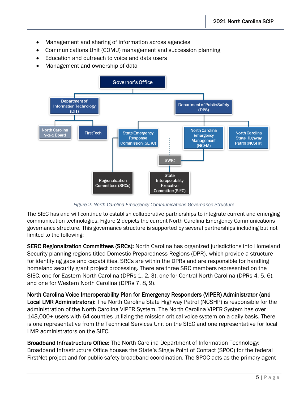- Management and sharing of information across agencies
- Communications Unit (COMU) management and succession planning
- Education and outreach to voice and data users
- Management and ownership of data



*Figure 2: North Carolina Emergency Communications Governance Structure*

The SIEC has and will continue to establish collaborative partnerships to integrate current and emerging communication technologies. Figure 2 depicts the current North Carolina Emergency Communications governance structure. This governance structure is supported by several partnerships including but not limited to the following:

SERC Regionalization Committees (SRCs): North Carolina has organized jurisdictions into Homeland Security planning regions titled Domestic Preparedness Regions (DPR), which provide a structure for identifying gaps and capabilities. SRCs are within the DPRs and are responsible for handling homeland security grant project processing. There are three SRC members represented on the SIEC, one for Eastern North Carolina (DPRs 1, 2, 3), one for Central North Carolina (DPRs 4, 5, 6), and one for Western North Carolina (DPRs 7, 8, 9).

North Carolina Voice Interoperability Plan for Emergency Responders (VIPER) Administrator (and Local LMR Administrators): The North Carolina State Highway Patrol (NCSHP) is responsible for the administration of the North Carolina VIPER System. The North Carolina VIPER System has over 143,000+ users with 64 counties utilizing the mission critical voice system on a daily basis. There is one representative from the Technical Services Unit on the SIEC and one representative for local LMR administrators on the SIEC.

Broadband Infrastructure Office: The North Carolina Department of Information Technology: Broadband Infrastructure Office houses the State's Single Point of Contact (SPOC) for the federal FirstNet project and for public safety broadband coordination. The SPOC acts as the primary agent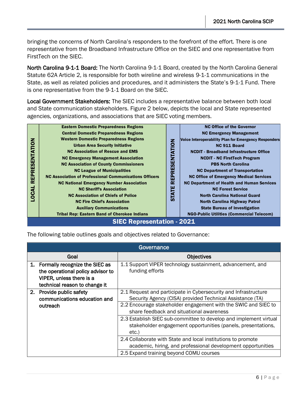bringing the concerns of North Carolina's responders to the forefront of the effort. There is one representative from the Broadband Infrastructure Office on the SIEC and one representative from FirstTech on the SIEC.

North Carolina 9-1-1 Board: The North Carolina 9-1-1 Board, created by the North Carolina General Statute 62A Article 2, is responsible for both wireline and wireless 9-1-1 communications in the State, as well as related policies and procedures, and it administers the State's 9-1-1 Fund. There is one representative from the 9-1-1 Board on the SIEC.

Local Government Stakeholders: The SIEC includes a representative balance between both local and State communication stakeholders. Figure 2 below, depicts the local and State represented agencies, organizations, and associations that are SIEC voting members.



| <b>REPRESENTATION</b><br><b>LOCAL</b> | <b>Urban Area Security Initiative</b><br><b>NC Association of Rescue and EMS</b><br><b>NC Emergency Management Association</b><br><b>NC Association of County Commissioners</b><br><b>NC League of Municipalities</b><br><b>NC Association of Professional Communications Officers</b><br><b>NC National Emergency Number Association</b><br><b>NC Sheriff's Association</b><br><b>NC Association of Chiefs of Police</b><br><b>NC Fire Chief's Association</b><br><b>Auxiliary Communications</b><br><b>Tribal Rep: Eastern Band of Cherokee Indians</b><br><b>SIEC Representation - 2021</b> |                                                                               | <b>STATE REPRESENTATION</b> | Voice Interoperability Plan for Emergency Responders<br>NC 911 Board<br><b>NCDIT - Broadband Infrastructure Office</b><br><b>NCDIT - NC FirstTech Program</b><br><b>PBS North Carolina</b><br><b>NC Department of Transportation</b><br><b>NC Office of Emergency Medical Services</b><br><b>NC Department of Health and Human Services</b><br><b>NC Forest Service</b><br><b>North Carolina National Guard</b><br><b>North Carolina Highway Patrol</b><br><b>State Bureau of Investigation</b><br><b>NGO-Public Utilities (Commercial Telecom)</b> |
|---------------------------------------|------------------------------------------------------------------------------------------------------------------------------------------------------------------------------------------------------------------------------------------------------------------------------------------------------------------------------------------------------------------------------------------------------------------------------------------------------------------------------------------------------------------------------------------------------------------------------------------------|-------------------------------------------------------------------------------|-----------------------------|-----------------------------------------------------------------------------------------------------------------------------------------------------------------------------------------------------------------------------------------------------------------------------------------------------------------------------------------------------------------------------------------------------------------------------------------------------------------------------------------------------------------------------------------------------|
|                                       | The following table outlines goals and objectives related to Governance:                                                                                                                                                                                                                                                                                                                                                                                                                                                                                                                       |                                                                               |                             |                                                                                                                                                                                                                                                                                                                                                                                                                                                                                                                                                     |
|                                       |                                                                                                                                                                                                                                                                                                                                                                                                                                                                                                                                                                                                | Governance                                                                    |                             |                                                                                                                                                                                                                                                                                                                                                                                                                                                                                                                                                     |
|                                       | Goal                                                                                                                                                                                                                                                                                                                                                                                                                                                                                                                                                                                           |                                                                               |                             | <b>Objectives</b>                                                                                                                                                                                                                                                                                                                                                                                                                                                                                                                                   |
|                                       | 1. Formally recognize the SIEC as                                                                                                                                                                                                                                                                                                                                                                                                                                                                                                                                                              | 1.1 Support VIPER technology sustainment, advancement, and<br>funding efforts |                             |                                                                                                                                                                                                                                                                                                                                                                                                                                                                                                                                                     |
|                                       | the operational policy advisor to<br>VIPER, unless there is a<br>technical reason to change it                                                                                                                                                                                                                                                                                                                                                                                                                                                                                                 |                                                                               |                             |                                                                                                                                                                                                                                                                                                                                                                                                                                                                                                                                                     |
|                                       | 2. Provide public safety                                                                                                                                                                                                                                                                                                                                                                                                                                                                                                                                                                       |                                                                               |                             | 2.1 Request and participate in Cybersecurity and Infrastructure                                                                                                                                                                                                                                                                                                                                                                                                                                                                                     |
|                                       | communications education and<br>outreach                                                                                                                                                                                                                                                                                                                                                                                                                                                                                                                                                       |                                                                               |                             | Security Agency (CISA) provided Technical Assistance (TA)<br>2.2 Encourage stakeholder engagement with the SWIC and SIEC to<br>share feedback and situational awareness                                                                                                                                                                                                                                                                                                                                                                             |
|                                       |                                                                                                                                                                                                                                                                                                                                                                                                                                                                                                                                                                                                | etc.)                                                                         |                             | 2.3 Establish SIEC sub-committee to develop and implement virtual<br>stakeholder engagement opportunities (panels, presentations,                                                                                                                                                                                                                                                                                                                                                                                                                   |
|                                       |                                                                                                                                                                                                                                                                                                                                                                                                                                                                                                                                                                                                |                                                                               |                             | 2.4 Collaborate with State and local institutions to promote<br>academic, hiring, and professional development opportunities                                                                                                                                                                                                                                                                                                                                                                                                                        |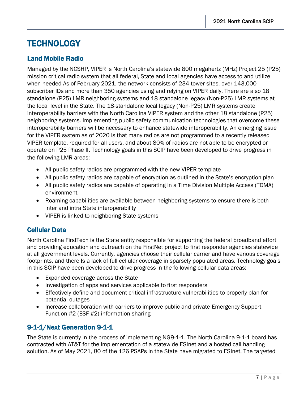## <span id="page-11-0"></span>**TECHNOLOGY**

#### <span id="page-11-1"></span>Land Mobile Radio

Managed by the NCSHP, VIPER is North Carolina's statewide 800 megahertz (MHz) Project 25 (P25) mission critical radio system that all federal, State and local agencies have access to and utilize when needed As of February 2021, the network consists of 234 tower sites, over 143,000 subscriber IDs and more than 350 agencies using and relying on VIPER daily. There are also 18 standalone (P25) LMR neighboring systems and 18 standalone legacy (Non-P25) LMR systems at the local level in the State. The 18-standalone local legacy (Non-P25) LMR systems create interoperability barriers with the North Carolina VIPER system and the other 18 standalone (P25) neighboring systems. Implementing public safety communication technologies that overcome these interoperability barriers will be necessary to enhance statewide interoperability. An emerging issue for the VIPER system as of 2020 is that many radios are not programmed to a recently released VIPER template, required for all users, and about 80% of radios are not able to be encrypted or operate on P25 Phase II. Technology goals in this SCIP have been developed to drive progress in the following LMR areas:

- All public safety radios are programmed with the new VIPER template
- All public safety radios are capable of encryption as outlined in the State's encryption plan
- All public safety radios are capable of operating in a Time Division Multiple Access (TDMA) environment
- Roaming capabilities are available between neighboring systems to ensure there is both inter and intra State interoperability
- VIPER is linked to neighboring State systems

#### <span id="page-11-2"></span>Cellular Data

North Carolina FirstTech is the State entity responsible for supporting the federal broadband effort and providing education and outreach on the FirstNet project to first responder agencies statewide at all government levels. Currently, agencies choose their cellular carrier and have various coverage footprints, and there Is a lack of full cellular coverage in sparsely populated areas. Technology goals in this SCIP have been developed to drive progress in the following cellular data areas:

- Expanded coverage across the State
- Investigation of apps and services applicable to first responders
- Effectively define and document critical infrastructure vulnerabilities to properly plan for potential outages
- Increase collaboration with carriers to improve public and private Emergency Support Function #2 (ESF #2) information sharing

#### <span id="page-11-3"></span>9-1-1/Next Generation 9-1-1

The State is currently in the process of implementing NG9-1-1. The North Carolina 9-1-1 board has contracted with AT&T for the implementation of a statewide ESInet and a hosted call handling solution. As of May 2021, 80 of the 126 PSAPs in the State have migrated to ESInet. The targeted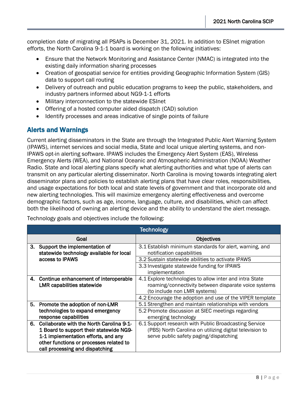completion date of migrating all PSAPs is December 31, 2021. In addition to ESInet migration efforts, the North Carolina 9-1-1 board is working on the following initiatives:

- Ensure that the Network Monitoring and Assistance Center (NMAC) is integrated into the existing daily information sharing processes
- Creation of geospatial service for entities providing Geographic Information System (GIS) data to support call routing
- Delivery of outreach and public education programs to keep the public, stakeholders, and industry partners informed about NG9-1-1 efforts
- Military interconnection to the statewide ESInet
- Offering of a hosted computer aided dispatch (CAD) solution
- Identify processes and areas indicative of single points of failure

#### <span id="page-12-0"></span>Alerts and Warnings

Current alerting disseminators in the State are through the Integrated Public Alert Warning System (IPAWS), internet services and social media, State and local unique alerting systems, and non-IPAWS opt-in alerting software. IPAWS includes the Emergency Alert System (EAS), Wireless Emergency Alerts (WEA), and National Oceanic and Atmospheric Administration (NOAA) Weather Radio. State and local alerting plans specify what alerting authorities and what type of alerts can transmit on any particular alerting disseminator. North Carolina is moving towards integrating alert disseminator plans and policies to establish alerting plans that have clear roles, responsibilities, and usage expectations for both local and state levels of government and that incorporate old and new alerting technologies. This will maximize emergency alerting effectiveness and overcome demographic factors, such as age, income, language, culture, and disabilities, which can affect both the likelihood of owning an alerting device and the ability to understand the alert message.

Technology goals and objectives include the following:

|    | <b>Technology</b>                                                         |                                                                                      |  |  |
|----|---------------------------------------------------------------------------|--------------------------------------------------------------------------------------|--|--|
|    | Goal                                                                      | <b>Objectives</b>                                                                    |  |  |
| 3. | Support the implementation of<br>statewide technology available for local | 3.1 Establish minimum standards for alert, warning, and<br>notification capabilities |  |  |
|    | access to IPAWS                                                           | 3.2 Sustain statewide abilities to activate IPAWS                                    |  |  |
|    |                                                                           | 3.3 Investigate statewide funding for IPAWS                                          |  |  |
|    |                                                                           | implementation                                                                       |  |  |
|    | 4. Continue enhancement of interoperable                                  | 4.1 Explore technologies to allow inter and intra State                              |  |  |
|    | <b>LMR capabilities statewide</b>                                         | roaming/connectivity between disparate voice systems                                 |  |  |
|    |                                                                           | (to include non LMR systems)                                                         |  |  |
|    |                                                                           | 4.2 Encourage the adoption and use of the VIPER template                             |  |  |
|    | 5. Promote the adoption of non-LMR                                        | 5.1 Strengthen and maintain relationships with vendors                               |  |  |
|    | technologies to expand emergency                                          | 5.2 Promote discussion at SIEC meetings regarding                                    |  |  |
|    | response capabilities                                                     | emerging technology                                                                  |  |  |
|    | 6. Collaborate with the North Carolina 9-1-                               | 6.1 Support research with Public Broadcasting Service                                |  |  |
|    | 1 Board to support their statewide NG9-                                   | (PBS) North Carolina on utilizing digital television to                              |  |  |
|    | 1-1 implementation efforts, and any                                       | serve public safety paging/dispatching                                               |  |  |
|    | other functions or processes related to                                   |                                                                                      |  |  |
|    | call processing and dispatching                                           |                                                                                      |  |  |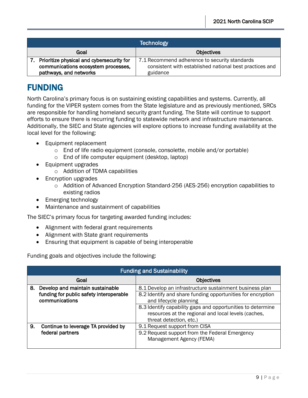| <b>Technology</b>                            |                                                         |  |
|----------------------------------------------|---------------------------------------------------------|--|
| Goal                                         | <b>Objectives</b>                                       |  |
| 7. Prioritize physical and cybersecurity for | 7.1 Recommend adherence to security standards           |  |
| communications ecosystem processes,          | consistent with established national best practices and |  |
| pathways, and networks                       | guidance                                                |  |

## <span id="page-13-0"></span>FUNDING

North Carolina's primary focus is on sustaining existing capabilities and systems. Currently, all funding for the VIPER system comes from the State legislature and as previously mentioned, SRCs are responsible for handling homeland security grant funding. The State will continue to support efforts to ensure there is recurring funding to statewide network and infrastructure maintenance. Additionally, the SIEC and State agencies will explore options to increase funding availability at the local level for the following:

- Equipment replacement
	- $\circ$  End of life radio equipment (console, consolette, mobile and/or portable)
	- o End of life computer equipment (desktop, laptop)
- Equipment upgrades
	- o Addition of TDMA capabilities
- Encryption upgrades
	- o Addition of Advanced Encryption Standard-256 (AES-256) encryption capabilities to existing radios
- Emerging technology
- Maintenance and sustainment of capabilities

The SIEC's primary focus for targeting awarded funding includes:

- Alignment with federal grant requirements
- Alignment with State grant requirements
- Ensuring that equipment is capable of being interoperable

Funding goals and objectives include the following:

|                                          | <b>Funding and Sustainability</b>       |                                                                                                                    |  |  |
|------------------------------------------|-----------------------------------------|--------------------------------------------------------------------------------------------------------------------|--|--|
|                                          | Goal                                    | <b>Objectives</b>                                                                                                  |  |  |
| 8.                                       | Develop and maintain sustainable        | 8.1 Develop an infrastructure sustainment business plan                                                            |  |  |
|                                          | funding for public safety interoperable | 8.2 Identify and share funding opportunities for encryption                                                        |  |  |
| communications<br>and lifecycle planning |                                         |                                                                                                                    |  |  |
|                                          |                                         | 8.3 Identify capability gaps and opportunities to determine<br>resources at the regional and local levels (caches, |  |  |
|                                          |                                         | threat detection, etc.)                                                                                            |  |  |
| 9.                                       | Continue to leverage TA provided by     | 9.1 Request support from CISA                                                                                      |  |  |
|                                          | federal partners                        | 9.2 Request support from the Federal Emergency<br>Management Agency (FEMA)                                         |  |  |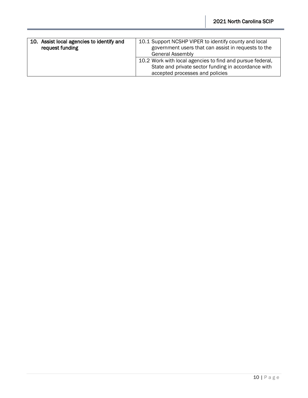| 10. Assist local agencies to identify and<br>request funding | 10.1 Support NCSHP VIPER to identify county and local<br>government users that can assist in requests to the<br><b>General Assembly</b>             |
|--------------------------------------------------------------|-----------------------------------------------------------------------------------------------------------------------------------------------------|
|                                                              | 10.2 Work with local agencies to find and pursue federal,<br>State and private sector funding in accordance with<br>accepted processes and policies |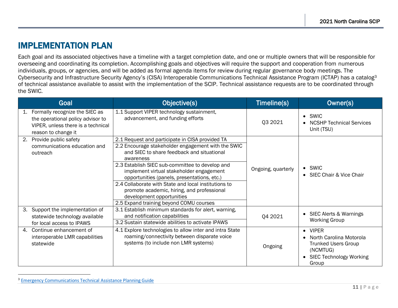### IMPLEMENTATION PLAN

Each goal and its associated objectives have a timeline with a target completion date, and one or multiple owners that will be responsible for overseeing and coordinating its completion. Accomplishing goals and objectives will require the support and cooperation from numerous individuals, groups, or agencies, and will be added as formal agenda items for review during regular governance body meetings. The Cybersecurity and Infrastructure Security Agency's (CISA) Interoperable Communications Technical Assistance Program (ICTAP) has a catalog<sup>3</sup> of technical assistance available to assist with the implementation of the SCIP. Technical assistance requests are to be coordinated through the SWIC.

<span id="page-15-0"></span>

|    | Goal                                                                                                                             | Objective(s)                                                                                                                                                                                                                                                                                                                                                                                                                                                                                 | Timeline(s)        | Owner(s)                                                                                                                                               |
|----|----------------------------------------------------------------------------------------------------------------------------------|----------------------------------------------------------------------------------------------------------------------------------------------------------------------------------------------------------------------------------------------------------------------------------------------------------------------------------------------------------------------------------------------------------------------------------------------------------------------------------------------|--------------------|--------------------------------------------------------------------------------------------------------------------------------------------------------|
| 1. | Formally recognize the SIEC as<br>the operational policy advisor to<br>VIPER, unless there is a technical<br>reason to change it | 1.1 Support VIPER technology sustainment,<br>advancement, and funding efforts                                                                                                                                                                                                                                                                                                                                                                                                                | Q3 2021            | $\bullet$ SWIC<br><b>NCSHP Technical Services</b><br>Unit (TSU)                                                                                        |
| 2. | Provide public safety<br>communications education and<br>outreach                                                                | 2.1 Request and participate in CISA provided TA<br>2.2 Encourage stakeholder engagement with the SWIC<br>and SIEC to share feedback and situational<br>awareness<br>2.3 Establish SIEC sub-committee to develop and<br>implement virtual stakeholder engagement<br>opportunities (panels, presentations, etc.)<br>2.4 Collaborate with State and local institutions to<br>promote academic, hiring, and professional<br>development opportunities<br>2.5 Expand training beyond COMU courses | Ongoing, quarterly | $\bullet$ SWIC<br>• SIEC Chair & Vice Chair                                                                                                            |
| 3. | Support the implementation of<br>statewide technology available<br>for local access to IPAWS                                     | 3.1 Establish minimum standards for alert, warning,<br>and notification capabilities<br>3.2 Sustain statewide abilities to activate IPAWS                                                                                                                                                                                                                                                                                                                                                    | Q4 2021            | • SIEC Alerts & Warnings<br><b>Working Group</b>                                                                                                       |
| 4. | Continue enhancement of<br>interoperable LMR capabilities<br>statewide                                                           | 4.1 Explore technologies to allow inter and intra State<br>roaming/connectivity between disparate voice<br>systems (to include non LMR systems)                                                                                                                                                                                                                                                                                                                                              | Ongoing            | <b>VIPER</b><br>$\bullet$<br>North Carolina Motorola<br><b>Trunked Users Group</b><br>(NCMTUG)<br><b>SIEC Technology Working</b><br>$\bullet$<br>Group |

<sup>&</sup>lt;sup>3</sup> [Emergency Communications Technical Assistance Planning Guide](https://www.cisa.gov/publication/ictapscip-resources)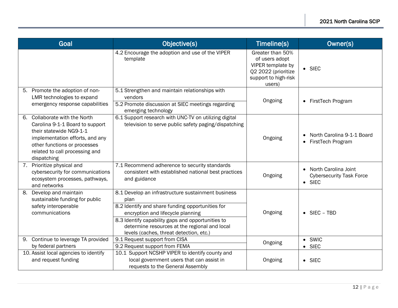| Goal                                                                                                                                                                                                               | Objective(s)                                                                                                                                                                                                                                                                                         | Timeline(s)                                                                                                      | Owner(s)                                                                    |
|--------------------------------------------------------------------------------------------------------------------------------------------------------------------------------------------------------------------|------------------------------------------------------------------------------------------------------------------------------------------------------------------------------------------------------------------------------------------------------------------------------------------------------|------------------------------------------------------------------------------------------------------------------|-----------------------------------------------------------------------------|
|                                                                                                                                                                                                                    | 4.2 Encourage the adoption and use of the VIPER<br>template                                                                                                                                                                                                                                          | Greater than 50%<br>of users adopt<br>VIPER template by<br>Q2 2022 (prioritize<br>support to high-risk<br>users) | $\bullet$ SIEC                                                              |
| 5. Promote the adoption of non-<br>LMR technologies to expand<br>emergency response capabilities                                                                                                                   | 5.1 Strengthen and maintain relationships with<br>vendors<br>5.2 Promote discussion at SIEC meetings regarding<br>emerging technology                                                                                                                                                                | Ongoing                                                                                                          | • FirstTech Program                                                         |
| Collaborate with the North<br>6.<br>Carolina 9-1-1 Board to support<br>their statewide NG9-1-1<br>implementation efforts, and any<br>other functions or processes<br>related to call processing and<br>dispatching | 6.1 Support research with UNC-TV on utilizing digital<br>television to serve public safety paging/dispatching                                                                                                                                                                                        | Ongoing                                                                                                          | North Carolina 9-1-1 Board<br>FirstTech Program<br>$\bullet$                |
| Prioritize physical and<br>7.<br>cybersecurity for communications<br>ecosystem processes, pathways,<br>and networks                                                                                                | 7.1 Recommend adherence to security standards<br>consistent with established national best practices<br>and guidance                                                                                                                                                                                 | Ongoing                                                                                                          | • North Carolina Joint<br><b>Cybersecurity Task Force</b><br>$\bullet$ SIEC |
| 8.<br>Develop and maintain<br>sustainable funding for public<br>safety interoperable<br>communications                                                                                                             | 8.1 Develop an infrastructure sustainment business<br>plan<br>8.2 Identify and share funding opportunities for<br>encryption and lifecycle planning<br>8.3 Identify capability gaps and opportunities to<br>determine resources at the regional and local<br>levels (caches, threat detection, etc.) | Ongoing                                                                                                          | $\bullet$ SIEC – TBD                                                        |
| Continue to leverage TA provided<br>9.<br>by federal partners                                                                                                                                                      | 9.1 Request support from CISA<br>9.2 Request support from FEMA                                                                                                                                                                                                                                       | Ongoing                                                                                                          | $\bullet$ SWIC<br><b>SIEC</b><br>$\bullet$                                  |
| 10. Assist local agencies to identify<br>and request funding                                                                                                                                                       | 10.1 Support NCSHP VIPER to identify county and<br>local government users that can assist in<br>requests to the General Assembly                                                                                                                                                                     | Ongoing                                                                                                          | $\bullet$ SIEC                                                              |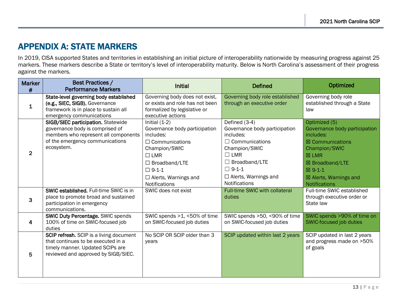## APPENDIX A: STATE MARKERS

In 2019, CISA supported States and territories in establishing an initial picture of interoperability nationwide by measuring progress against 25 markers. These markers describe a State or territory's level of interoperability maturity. Below is North Carolina's assessment of their progress against the markers.

<span id="page-17-0"></span>

| <b>Marker</b><br># | <b>Best Practices /</b><br><b>Performance Markers</b>                                                                                                          | <b>Initial</b>                                                                                                                                                                                                       | <b>Defined</b>                                                                                                                                                                                                     | Optimized                                                                                                                                                                                                               |
|--------------------|----------------------------------------------------------------------------------------------------------------------------------------------------------------|----------------------------------------------------------------------------------------------------------------------------------------------------------------------------------------------------------------------|--------------------------------------------------------------------------------------------------------------------------------------------------------------------------------------------------------------------|-------------------------------------------------------------------------------------------------------------------------------------------------------------------------------------------------------------------------|
| 1                  | State-level governing body established<br>(e.g., SIEC, SIGB). Governance<br>framework is in place to sustain all<br>emergency communications                   | Governing body does not exist,<br>or exists and role has not been<br>formalized by legislative or<br>executive actions                                                                                               | Governing body role established<br>through an executive order                                                                                                                                                      | Governing body role<br>established through a State<br>law                                                                                                                                                               |
| $\overline{2}$     | SIGB/SIEC participation. Statewide<br>governance body is comprised of<br>members who represent all components<br>of the emergency communications<br>ecosystem. | Initial $(1-2)$<br>Governance body participation<br>includes:<br>$\Box$ Communications<br>Champion/SWIC<br>$\Box$ LMR<br>$\Box$ Broadband/LTE<br>$\Box 9-1-1$<br>$\Box$ Alerts, Warnings and<br><b>Notifications</b> | Defined (3-4)<br>Governance body participation<br>includes:<br>$\Box$ Communications<br>Champion/SWIC<br>$\Box$ LMR<br>$\Box$ Broadband/LTE<br>$\Box 9-1-1$<br>$\Box$ Alerts, Warnings and<br><b>Notifications</b> | Optimized (5)<br>Governance body participation<br>includes:<br>$\boxtimes$ Communications<br>Champion/SWIC<br>$\boxtimes$ LMR<br>⊠ Broadband/LTE<br>⊠ 9-1-1<br>$\boxtimes$ Alerts, Warnings and<br><b>Notifications</b> |
| 3                  | <b>SWIC established.</b> Full-time SWIC is in<br>place to promote broad and sustained<br>participation in emergency<br>communications.                         | SWIC does not exist                                                                                                                                                                                                  | <b>Full-time SWIC with collateral</b><br>duties                                                                                                                                                                    | Full-time SWIC established<br>through executive order or<br>State law                                                                                                                                                   |
| 4                  | <b>SWIC Duty Percentage. SWIC spends</b><br>100% of time on SWIC-focused job<br>duties                                                                         | SWIC spends >1, <50% of time<br>on SWIC-focused job duties                                                                                                                                                           | SWIC spends >50, <90% of time<br>on SWIC-focused job duties                                                                                                                                                        | SWIC spends >90% of time on<br>SWIC-focused job duties                                                                                                                                                                  |
| 5                  | SCIP refresh. SCIP is a living document<br>that continues to be executed in a<br>timely manner. Updated SCIPs are<br>reviewed and approved by SIGB/SIEC.       | No SCIP OR SCIP older than 3<br>years                                                                                                                                                                                | SCIP updated within last 2 years                                                                                                                                                                                   | SCIP updated in last 2 years<br>and progress made on >50%<br>of goals                                                                                                                                                   |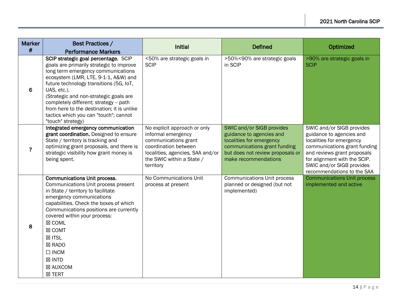| <b>Marker</b>  | Best Practices /                                                                                                                                                                                                                                                                                                                                                                                                         | <b>Initial</b>                                                                                                                                                                   | <b>Defined</b>                                                                                                                                                                | Optimized                                                                                                                                                                                                                                   |
|----------------|--------------------------------------------------------------------------------------------------------------------------------------------------------------------------------------------------------------------------------------------------------------------------------------------------------------------------------------------------------------------------------------------------------------------------|----------------------------------------------------------------------------------------------------------------------------------------------------------------------------------|-------------------------------------------------------------------------------------------------------------------------------------------------------------------------------|---------------------------------------------------------------------------------------------------------------------------------------------------------------------------------------------------------------------------------------------|
| #              | <b>Performance Markers</b>                                                                                                                                                                                                                                                                                                                                                                                               |                                                                                                                                                                                  |                                                                                                                                                                               |                                                                                                                                                                                                                                             |
| 6              | SCIP strategic goal percentage. SCIP<br>goals are primarily strategic to improve<br>long term emergency communications<br>ecosystem (LMR, LTE, 9-1-1, A&W) and<br>future technology transitions (5G, IoT,<br>UAS, etc.).<br>(Strategic and non-strategic goals are<br>completely different; strategy -- path<br>from here to the destination; it is unlike<br>tactics which you can "touch"; cannot<br>"touch" strategy) | <50% are strategic goals in<br><b>SCIP</b>                                                                                                                                       | >50%<90% are strategic goals<br>in SCIP                                                                                                                                       | >90% are strategic goals in<br><b>SCIP</b>                                                                                                                                                                                                  |
| $\overline{7}$ | Integrated emergency communication<br>grant coordination. Designed to ensure<br>State / territory is tracking and<br>optimizing grant proposals, and there is<br>strategic visibility how grant money is<br>being spent.                                                                                                                                                                                                 | No explicit approach or only<br>informal emergency<br>communications grant<br>coordination between<br>localities, agencies, SAA and/or<br>the SWIC within a State /<br>territory | SWIC and/or SIGB provides<br>guidance to agencies and<br>localities for emergency<br>communications grant funding<br>but does not review proposals or<br>make recommendations | SWIC and/or SIGB provides<br>guidance to agencies and<br>localities for emergency<br>communications grant funding<br>and reviews grant proposals<br>for alignment with the SCIP.<br>SWIC and/or SIGB provides<br>recommendations to the SAA |
| 8              | <b>Communications Unit process.</b><br>Communications Unit process present<br>in State / territory to facilitate<br>emergency communications<br>capabilities. Check the boxes of which<br>Communications positions are currently<br>covered within your process:<br>⊠ COML<br>⊠ COMT<br><b>⊠ ITSL</b><br><b>⊠ RADO</b><br>$\Box$ INCM<br>$\boxtimes$ INTD<br>⊠ AUXCOM<br><b>⊠ TERT</b>                                   | No Communications Unit<br>process at present                                                                                                                                     | <b>Communications Unit process</b><br>planned or designed (but not<br>implemented)                                                                                            | <b>Communications Unit process</b><br>implemented and active                                                                                                                                                                                |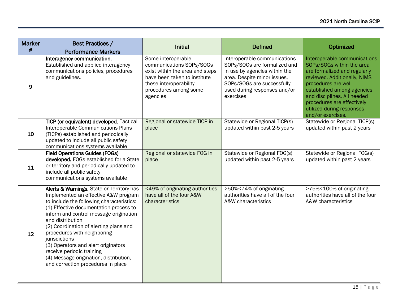| <b>Marker</b><br># | <b>Best Practices /</b><br><b>Performance Markers</b>                                                                                                                                                                                                                                                                                                                                                                                                                                | <b>Initial</b>                                                                                                                                                                   | <b>Defined</b>                                                                                                                                                                                          | Optimized                                                                                                                                                                                                                                                                                     |
|--------------------|--------------------------------------------------------------------------------------------------------------------------------------------------------------------------------------------------------------------------------------------------------------------------------------------------------------------------------------------------------------------------------------------------------------------------------------------------------------------------------------|----------------------------------------------------------------------------------------------------------------------------------------------------------------------------------|---------------------------------------------------------------------------------------------------------------------------------------------------------------------------------------------------------|-----------------------------------------------------------------------------------------------------------------------------------------------------------------------------------------------------------------------------------------------------------------------------------------------|
| 9                  | Interagency communication.<br>Established and applied interagency<br>communications policies, procedures<br>and guidelines.                                                                                                                                                                                                                                                                                                                                                          | Some interoperable<br>communications SOPs/SOGs<br>exist within the area and steps<br>have been taken to institute<br>these interoperability<br>procedures among some<br>agencies | Interoperable communications<br>SOPs/SOGs are formalized and<br>in use by agencies within the<br>area. Despite minor issues,<br>SOPs/SOGs are successfully<br>used during responses and/or<br>exercises | Interoperable communications<br>SOPs/SOGs within the area<br>are formalized and regularly<br>reviewed. Additionally, NIMS<br>procedures are well<br>established among agencies<br>and disciplines. All needed<br>procedures are effectively<br>utilized during responses<br>and/or exercises. |
| 10                 | TICP (or equivalent) developed. Tactical<br>Interoperable Communications Plans<br>(TICPs) established and periodically<br>updated to include all public safety<br>communications systems available                                                                                                                                                                                                                                                                                   | Regional or statewide TICP in<br>place                                                                                                                                           | Statewide or Regional TICP(s)<br>updated within past 2-5 years                                                                                                                                          | Statewide or Regional TICP(s)<br>updated within past 2 years                                                                                                                                                                                                                                  |
| 11                 | <b>Field Operations Guides (FOGs)</b><br>developed. FOGs established for a State<br>or territory and periodically updated to<br>include all public safety<br>communications systems available                                                                                                                                                                                                                                                                                        | Regional or statewide FOG in<br>place                                                                                                                                            | Statewide or Regional FOG(s)<br>updated within past 2-5 years                                                                                                                                           | Statewide or Regional FOG(s)<br>updated within past 2 years                                                                                                                                                                                                                                   |
| 12 <sup>2</sup>    | Alerts & Warnings. State or Territory has<br>Implemented an effective A&W program<br>to include the following characteristics:<br>(1) Effective documentation process to<br>inform and control message origination<br>and distribution<br>(2) Coordination of alerting plans and<br>procedures with neighboring<br>jurisdictions<br>(3) Operators and alert originators<br>receive periodic training<br>(4) Message origination, distribution,<br>and correction procedures in place | <49% of originating authorities<br>have all of the four A&W<br>characteristics                                                                                                   | >50%<74% of originating<br>authorities have all of the four<br>A&W characteristics                                                                                                                      | >75%<100% of originating<br>authorities have all of the four<br>A&W characteristics                                                                                                                                                                                                           |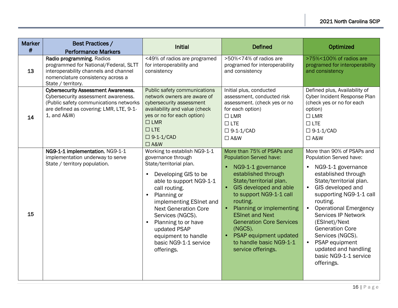| <b>Marker</b><br># | <b>Best Practices /</b><br><b>Performance Markers</b>                                                                                                                                 | <b>Initial</b>                                                                                                                                                                                                                                                                                                                                                                             | <b>Defined</b>                                                                                                                                                                                                                                                                                                                                                                       | Optimized                                                                                                                                                                                                                                                                                                                                                                                                            |
|--------------------|---------------------------------------------------------------------------------------------------------------------------------------------------------------------------------------|--------------------------------------------------------------------------------------------------------------------------------------------------------------------------------------------------------------------------------------------------------------------------------------------------------------------------------------------------------------------------------------------|--------------------------------------------------------------------------------------------------------------------------------------------------------------------------------------------------------------------------------------------------------------------------------------------------------------------------------------------------------------------------------------|----------------------------------------------------------------------------------------------------------------------------------------------------------------------------------------------------------------------------------------------------------------------------------------------------------------------------------------------------------------------------------------------------------------------|
| 13                 | Radio programming. Radios<br>programmed for National/Federal, SLTT<br>interoperability channels and channel<br>nomenclature consistency across a<br>State / territory.                | <49% of radios are programed<br>for interoperability and<br>consistency                                                                                                                                                                                                                                                                                                                    | >50%<74% of radios are<br>programed for interoperability<br>and consistency                                                                                                                                                                                                                                                                                                          | >75%<100% of radios are<br>programed for interoperability<br>and consistency                                                                                                                                                                                                                                                                                                                                         |
| 14                 | <b>Cybersecurity Assessment Awareness.</b><br>Cybersecurity assessment awareness.<br>(Public safety communications networks<br>are defined as covering: LMR, LTE, 9-1-<br>1, and A&W) | Public safety communications<br>network owners are aware of<br>cybersecurity assessment<br>availability and value (check<br>yes or no for each option)<br>$\square$ LMR<br>$\Box$ LTE<br>$\Box$ 9-1-1/CAD<br>$\square$ A&W                                                                                                                                                                 | Initial plus, conducted<br>assessment, conducted risk<br>assessment. (check yes or no<br>for each option)<br>$\Box$ LMR<br>$\Box$ LTE<br>$\Box$ 9-1-1/CAD<br>$\Box$ A&W                                                                                                                                                                                                              | Defined plus, Availability of<br>Cyber Incident Response Plan<br>(check yes or no for each<br>option)<br>$\Box$ LMR<br>$\Box$ LTE<br>$\Box$ 9-1-1/CAD<br>$\square$ A&W                                                                                                                                                                                                                                               |
| 15                 | NG9-1-1 implementation. NG9-1-1<br>implementation underway to serve<br>State / territory population.                                                                                  | Working to establish NG9-1-1<br>governance through<br>State/territorial plan.<br>Developing GIS to be<br>$\bullet$<br>able to support NG9-1-1<br>call routing.<br>Planning or<br>$\bullet$<br>implementing ESInet and<br><b>Next Generation Core</b><br>Services (NGCS).<br>Planning to or have<br>$\bullet$<br>updated PSAP<br>equipment to handle<br>basic NG9-1-1 service<br>offerings. | More than 75% of PSAPs and<br><b>Population Served have:</b><br>NG9-1-1 governance<br>established through<br>State/territorial plan.<br>GIS developed and able<br>to support NG9-1-1 call<br>routing.<br>Planning or implementing<br><b>ESInet and Next</b><br><b>Generation Core Services</b><br>(NGCS).<br>PSAP equipment updated<br>to handle basic NG9-1-1<br>service offerings. | More than 90% of PSAPs and<br>Population Served have:<br>NG9-1-1 governance<br>$\bullet$<br>established through<br>State/territorial plan.<br>GIS developed and<br>supporting NG9-1-1 call<br>routing.<br><b>Operational Emergency</b><br><b>Services IP Network</b><br>(ESInet)/Next<br><b>Generation Core</b><br>Services (NGCS).<br>PSAP equipment<br>updated and handling<br>basic NG9-1-1 service<br>offerings. |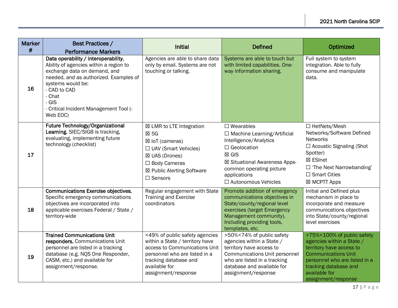| <b>Marker</b><br># | <b>Best Practices /</b><br><b>Performance Markers</b>                                                                                                                                                                                                                    | <b>Initial</b>                                                                                                                                                                                       | <b>Defined</b>                                                                                                                                                                                                                     | Optimized                                                                                                                                                                                                           |
|--------------------|--------------------------------------------------------------------------------------------------------------------------------------------------------------------------------------------------------------------------------------------------------------------------|------------------------------------------------------------------------------------------------------------------------------------------------------------------------------------------------------|------------------------------------------------------------------------------------------------------------------------------------------------------------------------------------------------------------------------------------|---------------------------------------------------------------------------------------------------------------------------------------------------------------------------------------------------------------------|
| 16                 | Data operability / interoperability.<br>Ability of agencies within a region to<br>exchange data on demand, and<br>needed, and as authorized. Examples of<br>systems would be:<br>- CAD to CAD<br>- Chat<br>$-$ GIS<br>- Critical Incident Management Tool (-<br>Web EOC) | Agencies are able to share data<br>only by email. Systems are not<br>touching or talking.                                                                                                            | Systems are able to touch but<br>with limited capabilities. One-<br>way information sharing.                                                                                                                                       | Full system to system<br>integration. Able to fully<br>consume and manipulate<br>data.                                                                                                                              |
| 17                 | Future Technology/Organizational<br>Learning. SIEC/SIGB is tracking,<br>evaluating, implementing future<br>technology (checklist)                                                                                                                                        | ⊠ LMR to LTE Integration<br>$\boxtimes$ 5G<br>⊠ IoT (cameras)<br>$\Box$ UAV (Smart Vehicles)<br>⊠ UAS (Drones)<br>$\Box$ Body Cameras<br>⊠ Public Alerting Software<br>$\square$ Sensors             | $\square$ Wearables<br>$\Box$ Machine Learning/Artificial<br>Intelligence/Analytics<br>$\Box$ Geolocation<br>$\boxtimes$ GIS<br>⊠ Situational Awareness Apps-<br>common operating picture<br>applications<br>□ Autonomous Vehicles | $\Box$ HetNets/Mesh<br>Networks/Software Defined<br><b>Networks</b><br>$\Box$ Acoustic Signaling (Shot<br>Spotter)<br>⊠ ESInet<br>$\Box$ 'The Next Narrowbanding'<br>$\Box$ Smart Cities<br>⊠ MCPTT Apps            |
| 18                 | <b>Communications Exercise objectives.</b><br>Specific emergency communications<br>objectives are incorporated into<br>applicable exercises Federal / State /<br>territory-wide                                                                                          | Regular engagement with State<br>Training and Exercise<br>coordinators                                                                                                                               | Promote addition of emergency<br>communications objectives in<br>State/county/regional level<br>exercises (target Emergency<br>Management community).<br>Including providing tools,<br>templates, etc.                             | Initial and Defined plus<br>mechanism in place to<br>incorporate and measure<br>communications objectives<br>into State/county/regional<br>level exercises                                                          |
| 19                 | <b>Trained Communications Unit</b><br>responders. Communications Unit<br>personnel are listed in a tracking<br>database (e.g. NQS One Responder,<br>CASM, etc.) and available for<br>assignment/response.                                                                | <49% of public safety agencies<br>within a State / territory have<br>access to Communications Unit<br>personnel who are listed in a<br>tracking database and<br>available for<br>assignment/response | >50%<74% of public safety<br>agencies within a State /<br>territory have access to<br><b>Communications Unit personnel</b><br>who are listed in a tracking<br>database and available for<br>assignment/response                    | >75%<100% of public safety<br>agencies within a State /<br>territory have access to<br><b>Communications Unit</b><br>personnel who are listed in a<br>tracking database and<br>available for<br>assignment/response |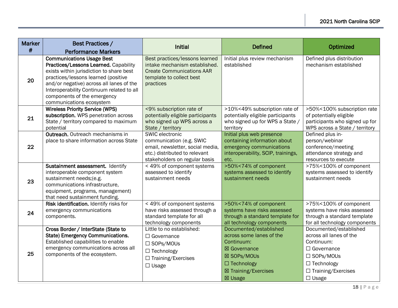| <b>Marker</b><br># | <b>Best Practices /</b><br><b>Performance Markers</b>                                                                                                                                                                                                                                                            | <b>Initial</b>                                                                                                                                    | <b>Defined</b>                                                                                                                                          | Optimized                                                                                                                                                                     |
|--------------------|------------------------------------------------------------------------------------------------------------------------------------------------------------------------------------------------------------------------------------------------------------------------------------------------------------------|---------------------------------------------------------------------------------------------------------------------------------------------------|---------------------------------------------------------------------------------------------------------------------------------------------------------|-------------------------------------------------------------------------------------------------------------------------------------------------------------------------------|
| 20                 | <b>Communications Usage Best</b><br>Practices/Lessons Learned. Capability<br>exists within jurisdiction to share best<br>practices/lessons learned (positive<br>and/or negative) across all lanes of the<br>Interoperability Continuum related to all<br>components of the emergency<br>communications ecosystem | Best practices/lessons learned<br>intake mechanism established.<br><b>Create Communications AAR</b><br>template to collect best<br>practices      | Initial plus review mechanism<br>established                                                                                                            | Defined plus distribution<br>mechanism established                                                                                                                            |
| 21                 | <b>Wireless Priority Service (WPS)</b><br>subscription. WPS penetration across<br>State / territory compared to maximum<br>potential                                                                                                                                                                             | <9% subscription rate of<br>potentially eligible participants<br>who signed up WPS across a<br>State / territory                                  | >10%<49% subscription rate of<br>potentially eligible participants<br>who signed up for WPS a State /<br>territory                                      | >50%<100% subscription rate<br>of potentially eligible<br>participants who signed up for<br>WPS across a State / territory                                                    |
| 22                 | Outreach. Outreach mechanisms in<br>place to share information across State                                                                                                                                                                                                                                      | SWIC electronic<br>communication (e.g. SWIC<br>email, newsletter, social media,<br>etc.) distributed to relevant<br>stakeholders on regular basis | Initial plus web presence<br>containing information about<br>emergency communications<br>interoperability, SCIP, trainings,<br>etc.                     | Defined plus in-<br>person/webinar<br>conference/meeting<br>attendance strategy and<br>resources to execute                                                                   |
| 23                 | Sustainment assessment. Identify<br>interoperable component system<br>sustainment needs;(e.g.<br>communications infrastructure,<br>equipment, programs, management)<br>that need sustainment funding.                                                                                                            | < 49% of component systems<br>assessed to identify<br>sustainment needs                                                                           | >50%<74% of component<br>systems assessed to identify<br>sustainment needs                                                                              | >75%<100% of component<br>systems assessed to identify<br>sustainment needs                                                                                                   |
| 24                 | Risk identification. Identify risks for<br>emergency communications<br>components.                                                                                                                                                                                                                               | < 49% of component systems<br>have risks assessed through a<br>standard template for all<br>technology components                                 | >50%<74% of component<br>systems have risks assessed<br>through a standard template for<br>all technology components                                    | >75%<100% of component<br>systems have risks assessed<br>through a standard template<br>for all technology components                                                         |
| 25                 | Cross Border / InterState (State to<br>State) Emergency Communications.<br>Established capabilities to enable<br>emergency communications across all<br>components of the ecosystem.                                                                                                                             | Little to no established:<br>$\Box$ Governance<br>□ SOPs/MOUs<br>$\Box$ Technology<br>□ Training/Exercises<br>$\Box$ Usage                        | Documented/established<br>across some lanes of the<br>Continuum:<br>⊠ Governance<br>⊠ SOPs/MOUs<br>$\Box$ Technology<br>⊠ Training/Exercises<br>⊠ Usage | Documented/established<br>across all lanes of the<br>Continuum:<br>$\Box$ Governance<br>$\square$ SOPs/MOUs<br>$\Box$ Technology<br>$\Box$ Training/Exercises<br>$\Box$ Usage |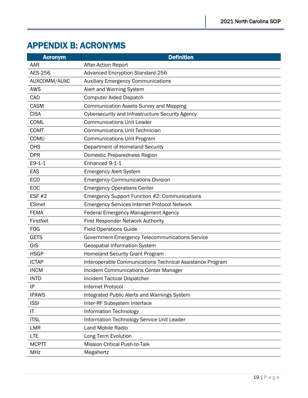## <span id="page-23-0"></span>APPENDIX B: ACRONYMS

| <b>Acronym</b> | <b>Definition</b>                                         |
|----------------|-----------------------------------------------------------|
| AAR            | After-Action Report                                       |
| AES-256        | <b>Advanced Encryption Standard-256</b>                   |
| AUXCOMM/AUXC   | <b>Auxiliary Emergency Communications</b>                 |
| <b>AWS</b>     | Alert and Warning System                                  |
| CAD            | <b>Computer Aided Dispatch</b>                            |
| <b>CASM</b>    | Communication Assets Survey and Mapping                   |
| <b>CISA</b>    | Cybersecurity and Infrastructure Security Agency          |
| <b>COML</b>    | <b>Communications Unit Leader</b>                         |
| <b>COMT</b>    | <b>Communications Unit Technician</b>                     |
| COMU           | <b>Communications Unit Program</b>                        |
| <b>DHS</b>     | Department of Homeland Security                           |
| <b>DPR</b>     | Domestic Preparedness Region                              |
| $E9-1-1$       | Enhanced 9-1-1                                            |
| EAS            | <b>Emergency Alert System</b>                             |
| <b>ECD</b>     | <b>Emergency Communications Division</b>                  |
| EOC            | <b>Emergency Operations Center</b>                        |
| <b>ESF #2</b>  | <b>Emergency Support Function #2: Communications</b>      |
| <b>ESInet</b>  | <b>Emergency Services Internet Protocol Network</b>       |
| <b>FEMA</b>    | <b>Federal Emergency Management Agency</b>                |
| FirstNet       | First Responder Network Authority                         |
| <b>FOG</b>     | <b>Field Operations Guide</b>                             |
| <b>GETS</b>    | Government Emergency Telecommunications Service           |
| GIS            | <b>Geospatial Information System</b>                      |
| <b>HSGP</b>    | <b>Homeland Security Grant Program</b>                    |
| <b>ICTAP</b>   | Interoperable Communications Technical Assistance Program |
| <b>INCM</b>    | <b>Incident Communications Center Manager</b>             |
| <b>INTD</b>    | <b>Incident Tactical Dispatcher</b>                       |
| IP             | <b>Internet Protocol</b>                                  |
| <b>IPAWS</b>   | <b>Integrated Public Alerts and Warnings System</b>       |
| <b>ISSI</b>    | Inter-RF Subsystem Interface                              |
| IT             | <b>Information Technology</b>                             |
| <b>ITSL</b>    | Information Technology Service Unit Leader                |
| <b>LMR</b>     | Land Mobile Radio                                         |
| <b>LTE</b>     | Long Term Evolution                                       |
| <b>MCPTT</b>   | <b>Mission Critical Push-to-Talk</b>                      |
| <b>MHz</b>     | Megahertz                                                 |